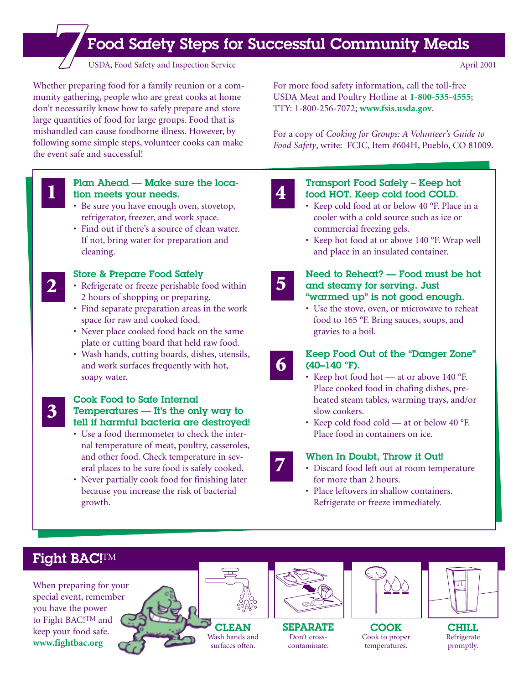# Food Safety Steps for Successful Community Meals **7**USDA, Food Safety and Inspection Service April 2001

Whether preparing food for a family reunion or a community gathering, people who are great cooks at home don't necessarily know how to safely prepare and store large quantities of food for large groups. Food that is mishandled can cause foodborne illness. However, by following some simple steps, volunteer cooks can make the event safe and successful!

**1**

**2**

**3**

#### Plan Ahead — Make sure the location meets your needs.

- Be sure you have enough oven, stovetop, refrigerator, freezer, and work space.
- Find out if there's a source of clean water. If not, bring water for preparation and cleaning.

## Store & Prepare Food Safely

- Refrigerate or freeze perishable food within 2 hours of shopping or preparing.
- Find separate preparation areas in the work space for raw and cooked food.
- Never place cooked food back on the same plate or cutting board that held raw food.
- Wash hands, cutting boards, dishes, utensils, and work surfaces frequently with hot, soapy water.

#### Cook Food to Safe Internal Temperatures — It's the only way to tell if harmful bacteria are destroyed!

- Use a food thermometer to check the internal temperature of meat, poultry, casseroles, and other food. Check temperature in several places to be sure food is safely cooked.
- Never partially cook food for finishing later because you increase the risk of bacterial growth.

For more food safety information, call the toll-free USDA Meat and Poultry Hotline at **1-800-535-4555**; TTY: 1-800-256-7072; **www.fsis.usda.gov**.

For a copy of *Cooking for Groups: A Volunteer's Guide to Food Safety*, write: FCIC, Item #604H, Pueblo, CO 81009.

**4**

#### Transport Food Safely – Keep hot food HOT. Keep cold food COLD.

- Keep cold food at or below 40 °F. Place in a cooler with a cold source such as ice or commercial freezing gels.
- Keep hot food at or above 140 °F. Wrap well and place in an insulated container.

#### Need to Reheat? — Food must be hot and steamy for serving. Just "warmed up" is not good enough.

- Use the stove, oven, or microwave to reheat food to 165 °F. Bring sauces, soups, and gravies to a boil.
- **6**

**7**

**5**

#### Keep Food Out of the "Danger Zone" (40–140 °F).

- Keep hot food hot at or above 140 °F. Place cooked food in chafing dishes, preheated steam tables, warming trays, and/or slow cookers.
- Keep cold food cold at or below 40 °F. Place food in containers on ice.

### When In Doubt, Throw it Out!

- Discard food left out at room temperature for more than 2 hours.
- Place leftovers in shallow containers. Refrigerate or freeze immediately.

# Fight BAC!TM

When preparing for your special event, remember you have the power to Fight BAC!TM and keep your food safe. **www.fightbac.org**





SEPARATE Don't crosscontaminate.



Cook to proper temperatures.



CHILL Refrigerate promptly.